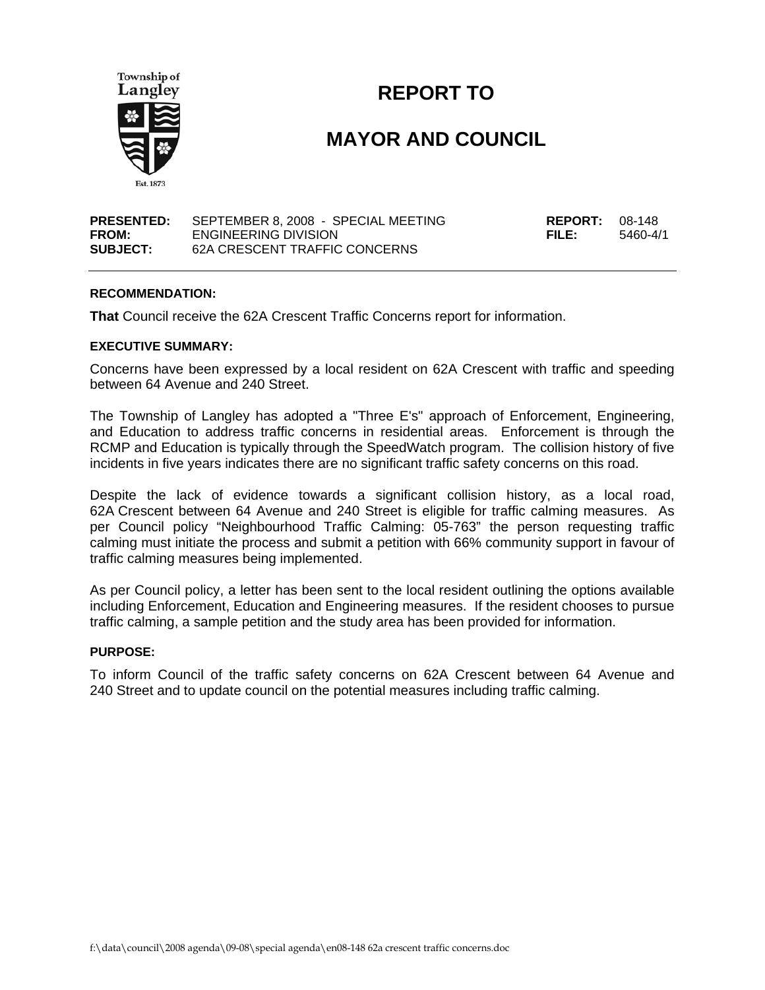

# **REPORT TO**

# **MAYOR AND COUNCIL**

| <b>PRESENTED:</b> | SEPTEMBER 8, 2008 - SPECIAL MEETING | <b>REPORT:</b> $08-148$ |          |
|-------------------|-------------------------------------|-------------------------|----------|
| FROM:             | ENGINEERING DIVISION                | FILE:                   | 5460-4/1 |
| <b>SUBJECT:</b>   | 62A CRESCENT TRAFFIC CONCERNS       |                         |          |

#### **RECOMMENDATION:**

**That** Council receive the 62A Crescent Traffic Concerns report for information.

#### **EXECUTIVE SUMMARY:**

Concerns have been expressed by a local resident on 62A Crescent with traffic and speeding between 64 Avenue and 240 Street.

The Township of Langley has adopted a "Three E's" approach of Enforcement, Engineering, and Education to address traffic concerns in residential areas. Enforcement is through the RCMP and Education is typically through the SpeedWatch program. The collision history of five incidents in five years indicates there are no significant traffic safety concerns on this road.

Despite the lack of evidence towards a significant collision history, as a local road, 62A Crescent between 64 Avenue and 240 Street is eligible for traffic calming measures. As per Council policy "Neighbourhood Traffic Calming: 05-763" the person requesting traffic calming must initiate the process and submit a petition with 66% community support in favour of traffic calming measures being implemented.

As per Council policy, a letter has been sent to the local resident outlining the options available including Enforcement, Education and Engineering measures. If the resident chooses to pursue traffic calming, a sample petition and the study area has been provided for information.

#### **PURPOSE:**

To inform Council of the traffic safety concerns on 62A Crescent between 64 Avenue and 240 Street and to update council on the potential measures including traffic calming.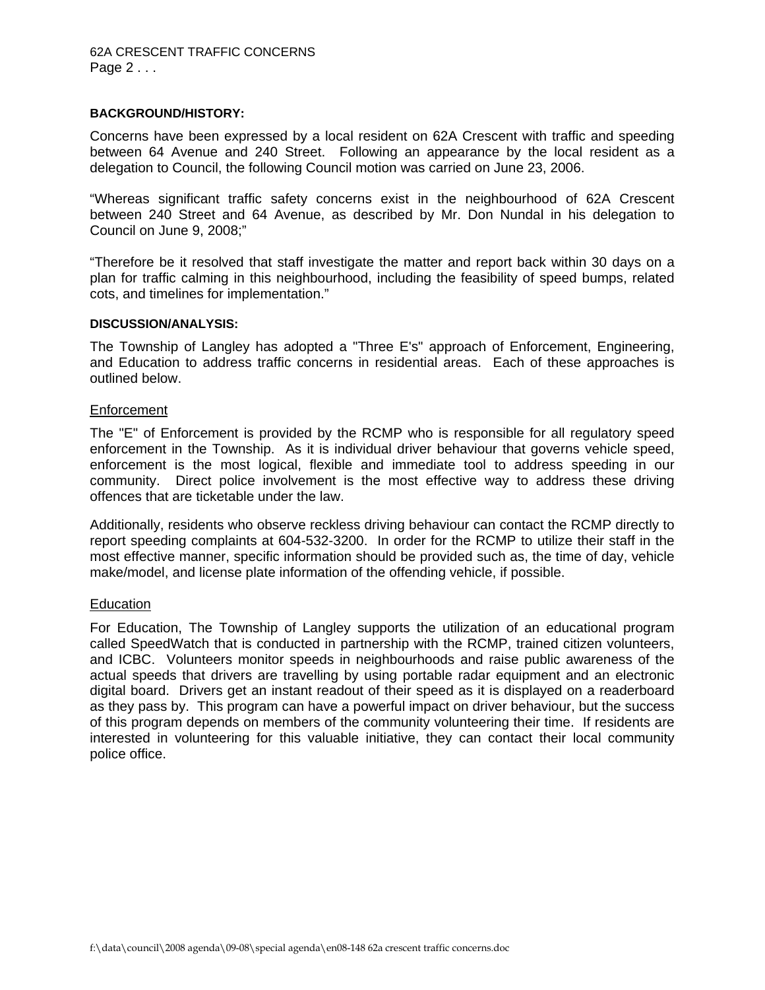#### **BACKGROUND/HISTORY:**

Concerns have been expressed by a local resident on 62A Crescent with traffic and speeding between 64 Avenue and 240 Street. Following an appearance by the local resident as a delegation to Council, the following Council motion was carried on June 23, 2006.

"Whereas significant traffic safety concerns exist in the neighbourhood of 62A Crescent between 240 Street and 64 Avenue, as described by Mr. Don Nundal in his delegation to Council on June 9, 2008;"

"Therefore be it resolved that staff investigate the matter and report back within 30 days on a plan for traffic calming in this neighbourhood, including the feasibility of speed bumps, related cots, and timelines for implementation."

#### **DISCUSSION/ANALYSIS:**

The Township of Langley has adopted a "Three E's" approach of Enforcement, Engineering, and Education to address traffic concerns in residential areas. Each of these approaches is outlined below.

#### **Enforcement**

The "E" of Enforcement is provided by the RCMP who is responsible for all regulatory speed enforcement in the Township. As it is individual driver behaviour that governs vehicle speed, enforcement is the most logical, flexible and immediate tool to address speeding in our community. Direct police involvement is the most effective way to address these driving offences that are ticketable under the law.

Additionally, residents who observe reckless driving behaviour can contact the RCMP directly to report speeding complaints at 604-532-3200. In order for the RCMP to utilize their staff in the most effective manner, specific information should be provided such as, the time of day, vehicle make/model, and license plate information of the offending vehicle, if possible.

### **Education**

For Education, The Township of Langley supports the utilization of an educational program called SpeedWatch that is conducted in partnership with the RCMP, trained citizen volunteers, and ICBC. Volunteers monitor speeds in neighbourhoods and raise public awareness of the actual speeds that drivers are travelling by using portable radar equipment and an electronic digital board. Drivers get an instant readout of their speed as it is displayed on a readerboard as they pass by. This program can have a powerful impact on driver behaviour, but the success of this program depends on members of the community volunteering their time. If residents are interested in volunteering for this valuable initiative, they can contact their local community police office.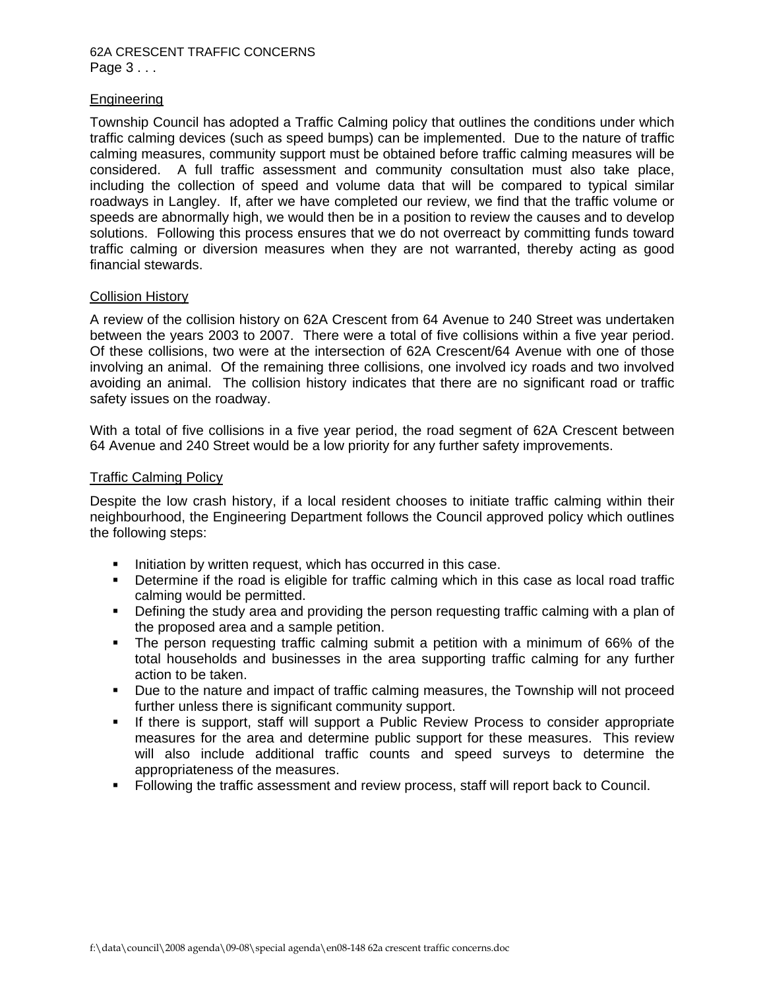### 62A CRESCENT TRAFFIC CONCERNS Page 3 . . .

## Engineering

Township Council has adopted a Traffic Calming policy that outlines the conditions under which traffic calming devices (such as speed bumps) can be implemented. Due to the nature of traffic calming measures, community support must be obtained before traffic calming measures will be considered. A full traffic assessment and community consultation must also take place, including the collection of speed and volume data that will be compared to typical similar roadways in Langley. If, after we have completed our review, we find that the traffic volume or speeds are abnormally high, we would then be in a position to review the causes and to develop solutions. Following this process ensures that we do not overreact by committing funds toward traffic calming or diversion measures when they are not warranted, thereby acting as good financial stewards.

### Collision History

A review of the collision history on 62A Crescent from 64 Avenue to 240 Street was undertaken between the years 2003 to 2007. There were a total of five collisions within a five year period. Of these collisions, two were at the intersection of 62A Crescent/64 Avenue with one of those involving an animal. Of the remaining three collisions, one involved icy roads and two involved avoiding an animal. The collision history indicates that there are no significant road or traffic safety issues on the roadway.

With a total of five collisions in a five year period, the road segment of 62A Crescent between 64 Avenue and 240 Street would be a low priority for any further safety improvements.

### Traffic Calming Policy

Despite the low crash history, if a local resident chooses to initiate traffic calming within their neighbourhood, the Engineering Department follows the Council approved policy which outlines the following steps:

- **Initiation by written request, which has occurred in this case.**
- Determine if the road is eligible for traffic calming which in this case as local road traffic calming would be permitted.
- Defining the study area and providing the person requesting traffic calming with a plan of the proposed area and a sample petition.
- The person requesting traffic calming submit a petition with a minimum of 66% of the total households and businesses in the area supporting traffic calming for any further action to be taken.
- Due to the nature and impact of traffic calming measures, the Township will not proceed further unless there is significant community support.
- **If there is support, staff will support a Public Review Process to consider appropriate** measures for the area and determine public support for these measures. This review will also include additional traffic counts and speed surveys to determine the appropriateness of the measures.
- Following the traffic assessment and review process, staff will report back to Council.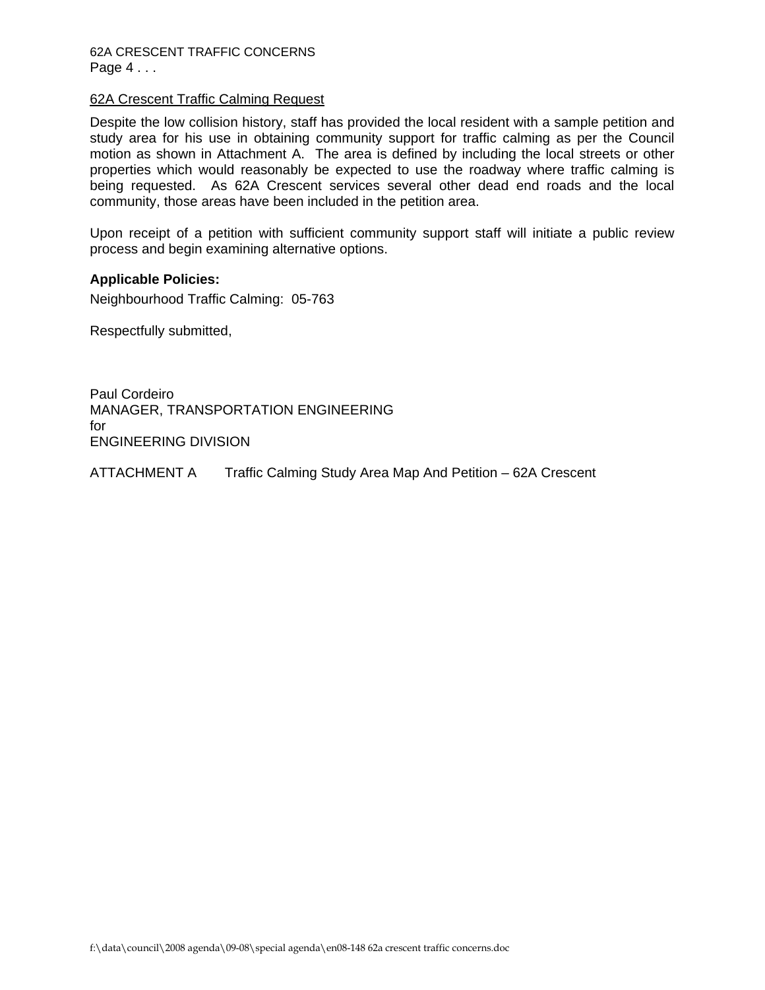## 62A Crescent Traffic Calming Request

Despite the low collision history, staff has provided the local resident with a sample petition and study area for his use in obtaining community support for traffic calming as per the Council motion as shown in Attachment A. The area is defined by including the local streets or other properties which would reasonably be expected to use the roadway where traffic calming is being requested. As 62A Crescent services several other dead end roads and the local community, those areas have been included in the petition area.

Upon receipt of a petition with sufficient community support staff will initiate a public review process and begin examining alternative options.

# **Applicable Policies:**

Neighbourhood Traffic Calming: 05-763

Respectfully submitted,

Paul Cordeiro MANAGER, TRANSPORTATION ENGINEERING for ENGINEERING DIVISION

ATTACHMENT A Traffic Calming Study Area Map And Petition – 62A Crescent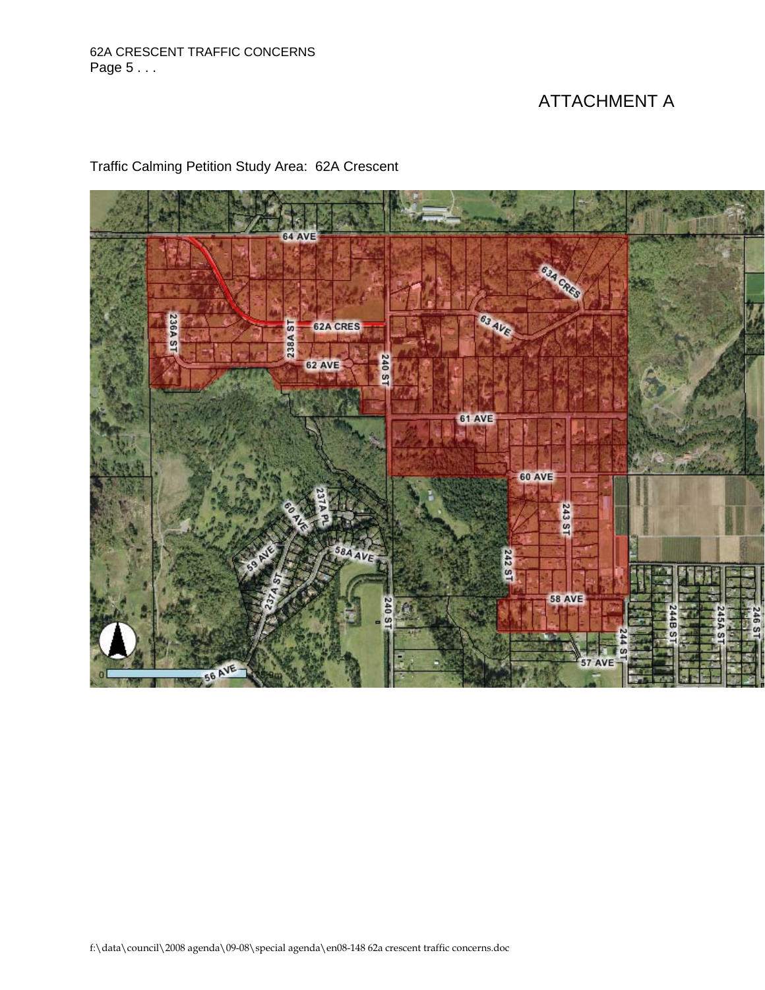# 62A CRESCENT TRAFFIC CONCERNS Page 5 . . .

# ATTACHMENT A



Traffic Calming Petition Study Area: 62A Crescent